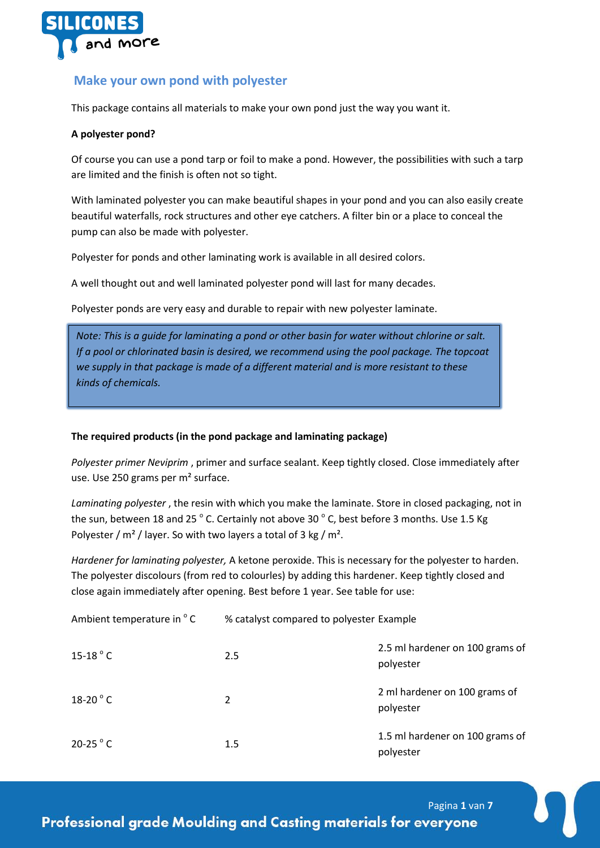

# **Make your own pond with polyester**

This package contains all materials to make your own pond just the way you want it.

## **A polyester pond?**

Of course you can use a pond tarp or foil to make a pond. However, the possibilities with such a tarp are limited and the finish is often not so tight.

With laminated polyester you can make beautiful shapes in your pond and you can also easily create beautiful waterfalls, rock structures and other eye catchers. A filter bin or a place to conceal the pump can also be made with polyester.

Polyester for ponds and other laminating work is available in all desired colors.

A well thought out and well laminated polyester pond will last for many decades.

Polyester ponds are very easy and durable to repair with new polyester laminate.

*Note: This is a guide for laminating a pond or other basin for water without chlorine or salt. If a pool or chlorinated basin is desired, we recommend using the pool package. The topcoat we supply in that package is made of a different material and is more resistant to these kinds of chemicals.*

# **The required products (in the pond package and laminating package)**

*Polyester primer Neviprim* , primer and surface sealant. Keep tightly closed. Close immediately after use. Use 250 grams per m² surface.

*Laminating polyester* , the resin with which you make the laminate. Store in closed packaging, not in the sun, between 18 and 25  $^{\circ}$  C. Certainly not above 30  $^{\circ}$  C, best before 3 months. Use 1.5 Kg Polyester /  $m<sup>2</sup>$  / layer. So with two layers a total of 3 kg /  $m<sup>2</sup>$ .

*Hardener for laminating polyester,* A ketone peroxide. This is necessary for the polyester to harden. The polyester discolours (from red to colourles) by adding this hardener. Keep tightly closed and close again immediately after opening. Best before 1 year. See table for use:

| Ambient temperature in °C | % catalyst compared to polyester Example |                                              |
|---------------------------|------------------------------------------|----------------------------------------------|
| $15-18$ $^{\circ}$ C      | 2.5                                      | 2.5 ml hardener on 100 grams of<br>polyester |
| 18-20 $^{\circ}$ C        | 2                                        | 2 ml hardener on 100 grams of<br>polyester   |
| 20-25 $\degree$ C         | 1.5                                      | 1.5 ml hardener on 100 grams of<br>polyester |

Pagina **1** van **7**

**Professional grade Moulding and Casting materials for everyone**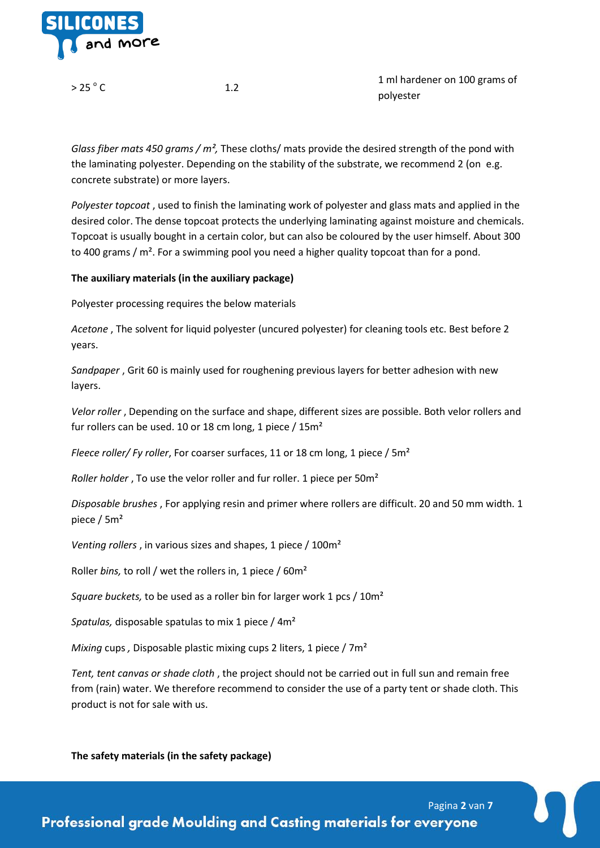

 $> 25^\circ$  C

 $C \qquad \qquad 1.2$ 

1 ml hardener on 100 grams of polyester

*Glass fiber mats 450 grams / m²,* These cloths/ mats provide the desired strength of the pond with the laminating polyester. Depending on the stability of the substrate, we recommend 2 (on e.g. concrete substrate) or more layers.

*Polyester topcoat* , used to finish the laminating work of polyester and glass mats and applied in the desired color. The dense topcoat protects the underlying laminating against moisture and chemicals. Topcoat is usually bought in a certain color, but can also be coloured by the user himself. About 300 to 400 grams  $/m<sup>2</sup>$ . For a swimming pool you need a higher quality topcoat than for a pond.

## **The auxiliary materials (in the auxiliary package)**

Polyester processing requires the below materials

*Acetone* , The solvent for liquid polyester (uncured polyester) for cleaning tools etc. Best before 2 years.

*Sandpaper* , Grit 60 is mainly used for roughening previous layers for better adhesion with new layers.

*Velor roller* , Depending on the surface and shape, different sizes are possible. Both velor rollers and fur rollers can be used. 10 or 18 cm long, 1 piece / 15m<sup>2</sup>

*Fleece roller/ Fy roller*, For coarser surfaces, 11 or 18 cm long, 1 piece / 5m²

*Roller holder* , To use the velor roller and fur roller. 1 piece per 50m²

*Disposable brushes* , For applying resin and primer where rollers are difficult. 20 and 50 mm width. 1 piece / 5m²

*Venting rollers*, in various sizes and shapes, 1 piece / 100m<sup>2</sup>

Roller *bins,* to roll / wet the rollers in, 1 piece / 60m²

*Square buckets,* to be used as a roller bin for larger work 1 pcs / 10m²

*Spatulas,* disposable spatulas to mix 1 piece / 4m²

*Mixing* cups *,* Disposable plastic mixing cups 2 liters, 1 piece / 7m²

*Tent, tent canvas or shade cloth* , the project should not be carried out in full sun and remain free from (rain) water. We therefore recommend to consider the use of a party tent or shade cloth. This product is not for sale with us.

**The safety materials (in the safety package)**

Pagina **2** van **7 Professional grade Moulding and Casting materials for everyone**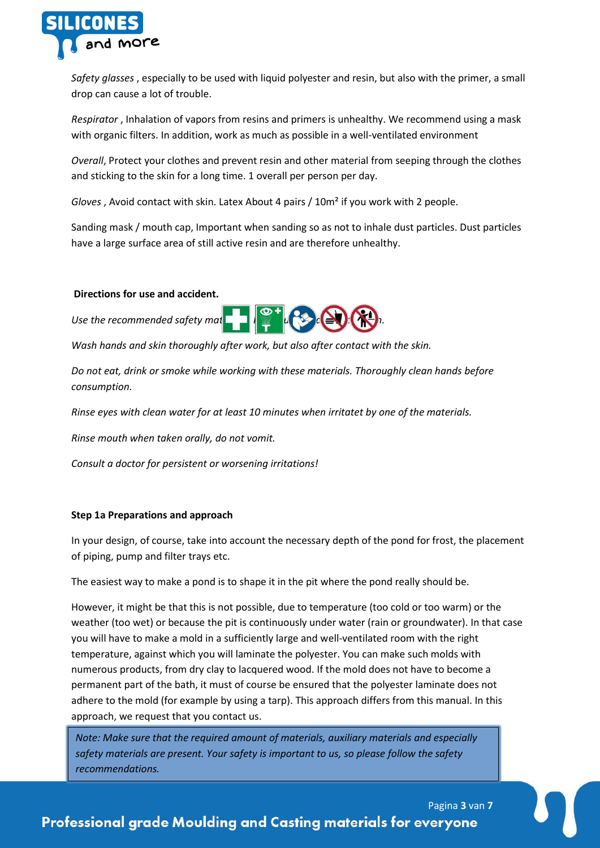

*Safety glasses* , especially to be used with liquid polyester and resin, but also with the primer, a small drop can cause a lot of trouble.

*Respirator* , Inhalation of vapors from resins and primers is unhealthy. We recommend using a mask with organic filters. In addition, work as much as possible in a well-ventilated environment

*Overall*, Protect your clothes and prevent resin and other material from seeping through the clothes and sticking to the skin for a long time. 1 overall per person per day.

*Gloves* , Avoid contact with skin. Latex About 4 pairs / 10m² if you work with 2 people.

Sanding mask / mouth cap, Important when sanding so as not to inhale dust particles. Dust particles have a large surface area of still active resin and are therefore unhealthy.

### **Directions for use and accident.**

*Use the recommended safety mat* 

*Wash hands and skin thoroughly after work, but also after contact with the skin.*

*Do not eat, drink or smoke while working with these materials. Thoroughly clean hands before consumption.*

*Rinse eyes with clean water for at least 10 minutes when irritatet by one of the materials.*

*Rinse mouth when taken orally, do not vomit.*

*Consult a doctor for persistent or worsening irritations!*

# **Step 1a Preparations and approach**

In your design, of course, take into account the necessary depth of the pond for frost, the placement of piping, pump and filter trays etc.

The easiest way to make a pond is to shape it in the pit where the pond really should be.

However, it might be that this is not possible, due to temperature (too cold or too warm) or the weather (too wet) or because the pit is continuously under water (rain or groundwater). In that case you will have to make a mold in a sufficiently large and well-ventilated room with the right temperature, against which you will laminate the polyester. You can make such molds with numerous products, from dry clay to lacquered wood. If the mold does not have to become a permanent part of the bath, it must of course be ensured that the polyester laminate does not adhere to the mold (for example by using a tarp). This approach differs from this manual. In this approach, we request that you contact us.

*Note: Make sure that the required amount of materials, auxiliary materials and especially safety materials are present. Your safety is important to us, so please follow the safety recommendations.*

# Pagina **3** van **7 Professional grade Moulding and Casting materials for everyone**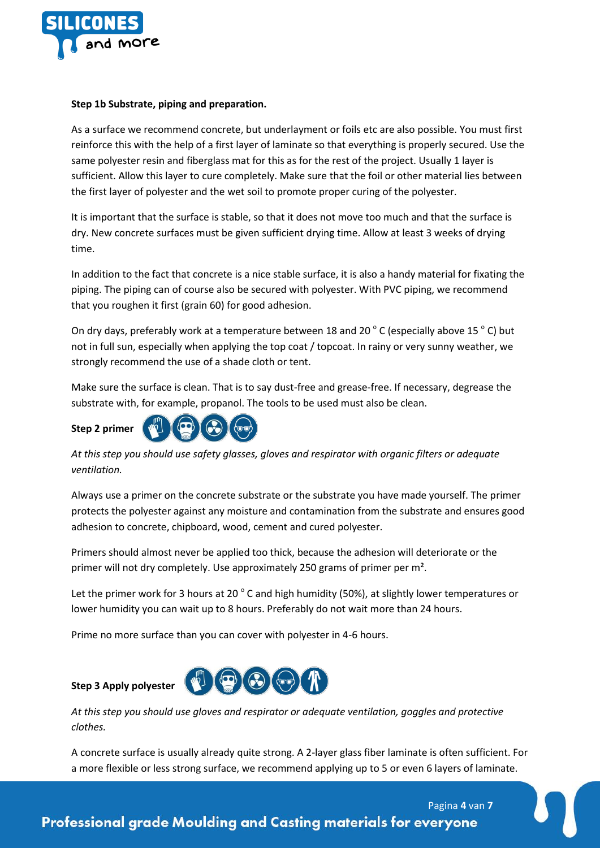

### **Step 1b Substrate, piping and preparation.**

As a surface we recommend concrete, but underlayment or foils etc are also possible. You must first reinforce this with the help of a first layer of laminate so that everything is properly secured. Use the same polyester resin and fiberglass mat for this as for the rest of the project. Usually 1 layer is sufficient. Allow this layer to cure completely. Make sure that the foil or other material lies between the first layer of polyester and the wet soil to promote proper curing of the polyester.

It is important that the surface is stable, so that it does not move too much and that the surface is dry. New concrete surfaces must be given sufficient drying time. Allow at least 3 weeks of drying time.

In addition to the fact that concrete is a nice stable surface, it is also a handy material for fixating the piping. The piping can of course also be secured with polyester. With PVC piping, we recommend that you roughen it first (grain 60) for good adhesion.

On dry days, preferably work at a temperature between 18 and 20  $^{\circ}$  C (especially above 15  $^{\circ}$  C) but not in full sun, especially when applying the top coat / topcoat. In rainy or very sunny weather, we strongly recommend the use of a shade cloth or tent.

Make sure the surface is clean. That is to say dust-free and grease-free. If necessary, degrease the substrate with, for example, propanol. The tools to be used must also be clean.



*At this step you should use safety glasses, gloves and respirator with organic filters or adequate ventilation.*

Always use a primer on the concrete substrate or the substrate you have made yourself. The primer protects the polyester against any moisture and contamination from the substrate and ensures good adhesion to concrete, chipboard, wood, cement and cured polyester.

Primers should almost never be applied too thick, because the adhesion will deteriorate or the primer will not dry completely. Use approximately 250 grams of primer per m².

Let the primer work for 3 hours at 20 $^{\circ}$  C and high humidity (50%), at slightly lower temperatures or lower humidity you can wait up to 8 hours. Preferably do not wait more than 24 hours.

Prime no more surface than you can cover with polyester in 4-6 hours.

# **Step 3 Apply polyester**



*At this step you should use gloves and respirator or adequate ventilation, goggles and protective clothes.*

A concrete surface is usually already quite strong. A 2-layer glass fiber laminate is often sufficient. For a more flexible or less strong surface, we recommend applying up to 5 or even 6 layers of laminate.

Pagina **4** van **7 Professional grade Moulding and Casting materials for everyone**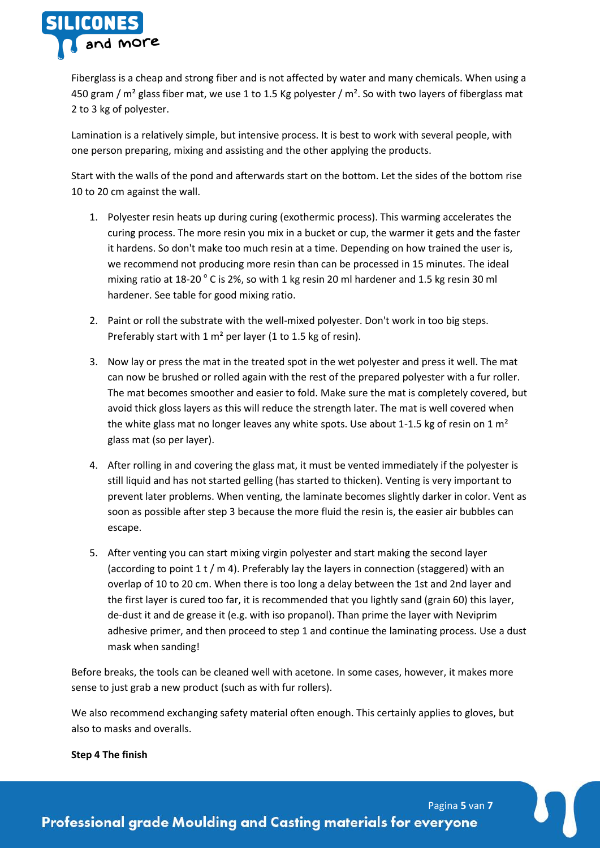

Fiberglass is a cheap and strong fiber and is not affected by water and many chemicals. When using a 450 gram / m<sup>2</sup> glass fiber mat, we use 1 to 1.5 Kg polyester / m<sup>2</sup>. So with two layers of fiberglass mat 2 to 3 kg of polyester.

Lamination is a relatively simple, but intensive process. It is best to work with several people, with one person preparing, mixing and assisting and the other applying the products.

Start with the walls of the pond and afterwards start on the bottom. Let the sides of the bottom rise 10 to 20 cm against the wall.

- 1. Polyester resin heats up during curing (exothermic process). This warming accelerates the curing process. The more resin you mix in a bucket or cup, the warmer it gets and the faster it hardens. So don't make too much resin at a time. Depending on how trained the user is, we recommend not producing more resin than can be processed in 15 minutes. The ideal mixing ratio at 18-20 $^{\circ}$  C is 2%, so with 1 kg resin 20 ml hardener and 1.5 kg resin 30 ml hardener. See table for good mixing ratio.
- 2. Paint or roll the substrate with the well-mixed polyester. Don't work in too big steps. Preferably start with 1  $m<sup>2</sup>$  per layer (1 to 1.5 kg of resin).
- 3. Now lay or press the mat in the treated spot in the wet polyester and press it well. The mat can now be brushed or rolled again with the rest of the prepared polyester with a fur roller. The mat becomes smoother and easier to fold. Make sure the mat is completely covered, but avoid thick gloss layers as this will reduce the strength later. The mat is well covered when the white glass mat no longer leaves any white spots. Use about 1-1.5 kg of resin on 1  $m<sup>2</sup>$ glass mat (so per layer).
- 4. After rolling in and covering the glass mat, it must be vented immediately if the polyester is still liquid and has not started gelling (has started to thicken). Venting is very important to prevent later problems. When venting, the laminate becomes slightly darker in color. Vent as soon as possible after step 3 because the more fluid the resin is, the easier air bubbles can escape.
- 5. After venting you can start mixing virgin polyester and start making the second layer (according to point  $1$  t / m 4). Preferably lay the layers in connection (staggered) with an overlap of 10 to 20 cm. When there is too long a delay between the 1st and 2nd layer and the first layer is cured too far, it is recommended that you lightly sand (grain 60) this layer, de-dust it and de grease it (e.g. with iso propanol). Than prime the layer with Neviprim adhesive primer, and then proceed to step 1 and continue the laminating process. Use a dust mask when sanding!

Before breaks, the tools can be cleaned well with acetone. In some cases, however, it makes more sense to just grab a new product (such as with fur rollers).

We also recommend exchanging safety material often enough. This certainly applies to gloves, but also to masks and overalls.

### **Step 4 The finish**

Pagina **5** van **7**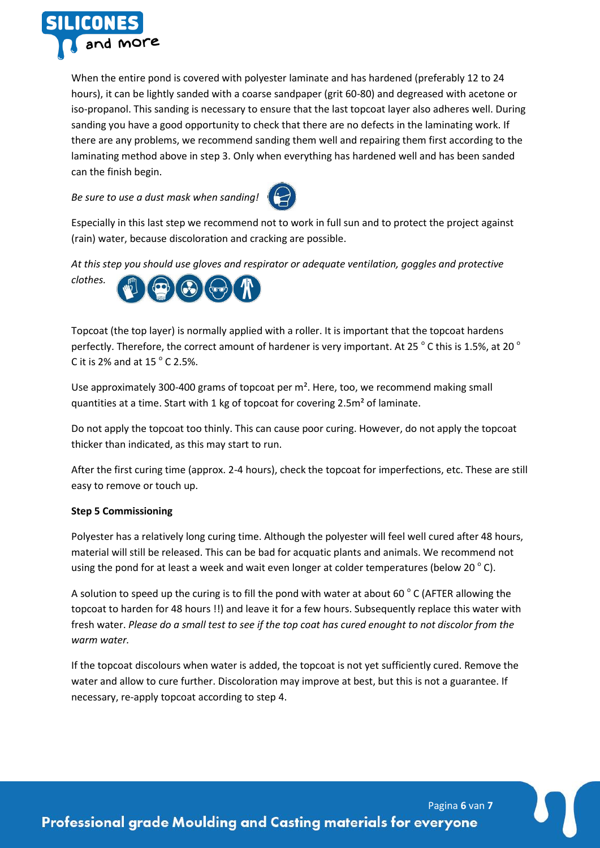

When the entire pond is covered with polyester laminate and has hardened (preferably 12 to 24 hours), it can be lightly sanded with a coarse sandpaper (grit 60-80) and degreased with acetone or iso-propanol. This sanding is necessary to ensure that the last topcoat layer also adheres well. During sanding you have a good opportunity to check that there are no defects in the laminating work. If there are any problems, we recommend sanding them well and repairing them first according to the laminating method above in step 3. Only when everything has hardened well and has been sanded can the finish begin.

*Be sure to use a dust mask when sanding!*



Especially in this last step we recommend not to work in full sun and to protect the project against (rain) water, because discoloration and cracking are possible.

*At this step you should use gloves and respirator or adequate ventilation, goggles and protective* 



Topcoat (the top layer) is normally applied with a roller. It is important that the topcoat hardens perfectly. Therefore, the correct amount of hardener is very important. At 25  $^{\circ}$  C this is 1.5%, at 20  $^{\circ}$ C it is 2% and at  $15^{\circ}$  C 2.5%.

Use approximately 300-400 grams of topcoat per m². Here, too, we recommend making small quantities at a time. Start with 1 kg of topcoat for covering 2.5m² of laminate.

Do not apply the topcoat too thinly. This can cause poor curing. However, do not apply the topcoat thicker than indicated, as this may start to run.

After the first curing time (approx. 2-4 hours), check the topcoat for imperfections, etc. These are still easy to remove or touch up.

# **Step 5 Commissioning**

Polyester has a relatively long curing time. Although the polyester will feel well cured after 48 hours, material will still be released. This can be bad for acquatic plants and animals. We recommend not using the pond for at least a week and wait even longer at colder temperatures (below 20 $^{\circ}$  C).

A solution to speed up the curing is to fill the pond with water at about 60  $^{\circ}$  C (AFTER allowing the topcoat to harden for 48 hours !!) and leave it for a few hours. Subsequently replace this water with fresh water. *Please do a small test to see if the top coat has cured enought to not discolor from the warm water.*

If the topcoat discolours when water is added, the topcoat is not yet sufficiently cured. Remove the water and allow to cure further. Discoloration may improve at best, but this is not a guarantee. If necessary, re-apply topcoat according to step 4.

Pagina **6** van **7 Professional grade Moulding and Casting materials for everyone**